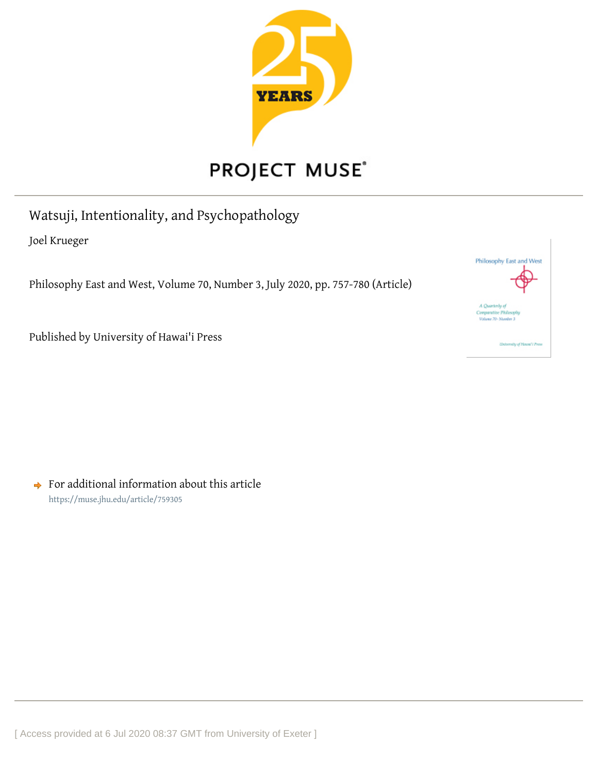

# PROJECT MUSE®

Watsuji, Intentionality, and Psychopathology

Joel Krueger

Philosophy East and West, Volume 70, Number 3, July 2020, pp. 757-780 (Article)

Published by University of Hawai'i Press

 $\rightarrow$  For additional information about this article <https://muse.jhu.edu/article/759305>

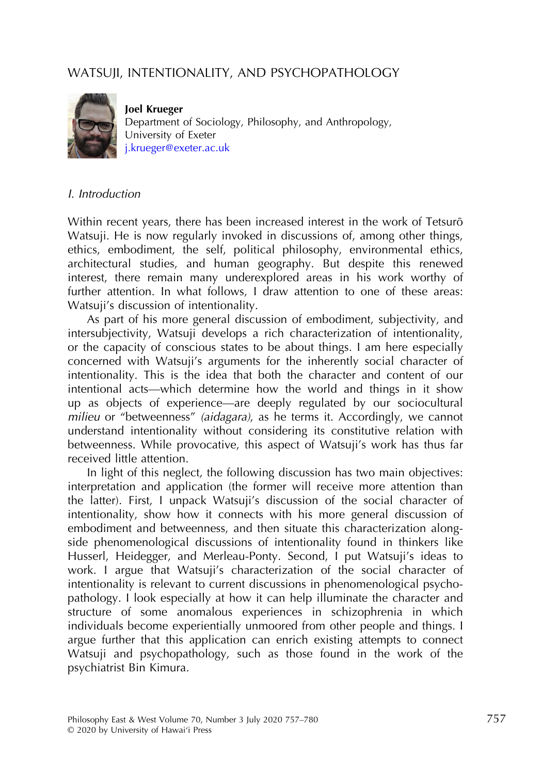## WATSUJI, INTENTIONALITY, AND PSYCHOPATHOLOGY



**Joel Harger**<br>Department of Sociology, Philosophy, and Anthropology, University of Exeter [j.krueger@exeter.ac.uk](mailto:j.krueger@exeter.ac.uk)

#### I. Introduction

Within recent years, there has been increased interest in the work of Tetsurō Watsuji. He is now regularly invoked in discussions of, among other things, ethics, embodiment, the self, political philosophy, environmental ethics, architectural studies, and human geography. But despite this renewed interest, there remain many underexplored areas in his work worthy of further attention. In what follows, I draw attention to one of these areas: Watsuji's discussion of intentionality.

As part of his more general discussion of embodiment, subjectivity, and intersubjectivity, Watsuji develops a rich characterization of intentionality, or the capacity of conscious states to be about things. I am here especially concerned with Watsuji's arguments for the inherently social character of intentionality. This is the idea that both the character and content of our intentional acts—which determine how the world and things in it show up as objects of experience—are deeply regulated by our sociocultural milieu or "betweenness" (aidagara), as he terms it. Accordingly, we cannot understand intentionality without considering its constitutive relation with betweenness. While provocative, this aspect of Watsuji's work has thus far received little attention.

In light of this neglect, the following discussion has two main objectives: interpretation and application (the former will receive more attention than the latter). First, I unpack Watsuji's discussion of the social character of intentionality, show how it connects with his more general discussion of embodiment and betweenness, and then situate this characterization alongside phenomenological discussions of intentionality found in thinkers like Husserl, Heidegger, and Merleau-Ponty. Second, I put Watsuji's ideas to work. I argue that Watsuji's characterization of the social character of intentionality is relevant to current discussions in phenomenological psychopathology. I look especially at how it can help illuminate the character and structure of some anomalous experiences in schizophrenia in which individuals become experientially unmoored from other people and things. I argue further that this application can enrich existing attempts to connect Watsuji and psychopathology, such as those found in the work of the psychiatrist Bin Kimura.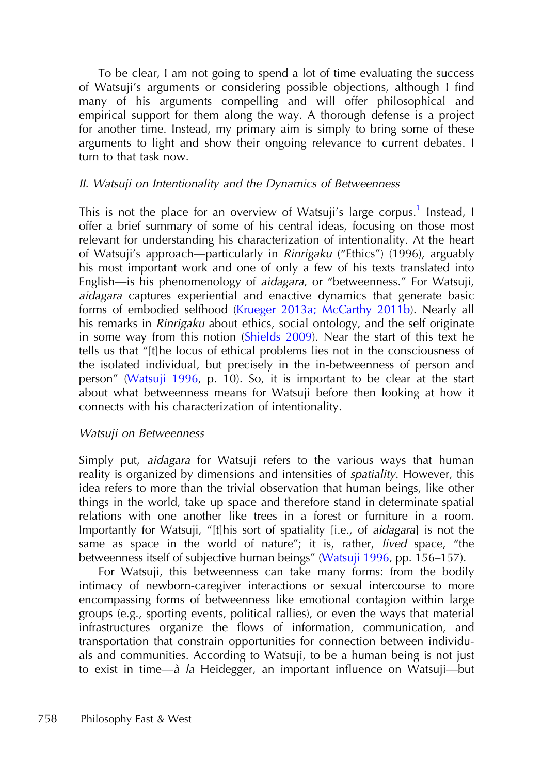To be clear, I am not going to spend a lot of time evaluating the success of Watsuji's arguments or considering possible objections, although I find many of his arguments compelling and will offer philosophical and empirical support for them along the way. A thorough defense is a project for another time. Instead, my primary aim is simply to bring some of these arguments to light and show their ongoing relevance to current debates. I turn to that task now.

## II. Watsuji on Intentionality and the Dynamics of Betweenness

This is not the place for an overview of Watsuji's large corpus.<sup>1</sup> [Instead, I](#page-19-0) offer a brief summary of some of his central ideas, focusing on those most relevant for understanding his characterization of intentionality. At the heart of Watsuji's approach—particularly in Rinrigaku ("Ethics") (1996), arguably his most important work and one of only a few of his texts translated into English—is his phenomenology of aidagara, or "betweenness." For Watsuji, aidagara captures experiential and enactive dynamics that generate basic forms of embodied selfhood ([Krueger 2013a; McCarthy 2011b](#page-22-0)). Nearly all his remarks in Rinrigaku about ethics, social ontology, and the self originate in some way from this notion [\(Shields 2009](#page-23-0)). Near the start of this text he tells us that "[t]he locus of ethical problems lies not in the consciousness of the isolated individual, but precisely in the in-betweenness of person and person" [\(Watsuji 1996](#page-24-0), p. 10). So, it is important to be clear at the start about what betweenness means for Watsuji before then looking at how it connects with his characterization of intentionality.

## Watsuji on Betweenness

Simply put, aidagara for Watsuji refers to the various ways that human reality is organized by dimensions and intensities of *spatiality*. However, this idea refers to more than the trivial observation that human beings, like other things in the world, take up space and therefore stand in determinate spatial relations with one another like trees in a forest or furniture in a room. Importantly for Watsuji, "[t]his sort of spatiality [i.e., of aidagara] is not the same as space in the world of nature"; it is, rather, *lived* space, "the betweenness itself of subjective human beings" [\(Watsuji 1996,](#page-24-0) pp. 156–157).

For Watsuji, this betweenness can take many forms: from the bodily intimacy of newborn-caregiver interactions or sexual intercourse to more encompassing forms of betweenness like emotional contagion within large groups (e.g., sporting events, political rallies), or even the ways that material infrastructures organize the flows of information, communication, and transportation that constrain opportunities for connection between individuals and communities. According to Watsuji, to be a human being is not just to exist in time—<sup>à</sup> la Heidegger, an important influence on Watsuji—but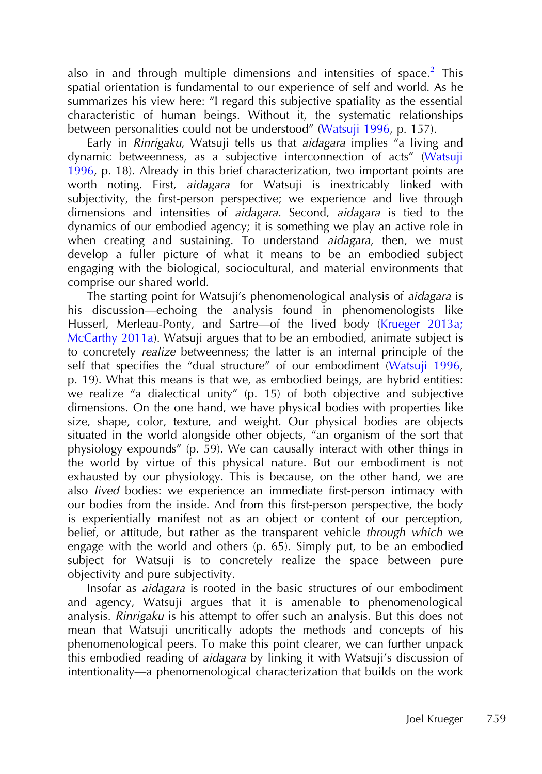also in and through multiple dimensions and intensities of space.<sup>2</sup> [This](#page-19-0) spatial orientation is fundamental to our experience of self and world. As he summarizes his view here: "I regard this subjective spatiality as the essential characteristic of human beings. Without it, the systematic relationships between personalities could not be understood" ([Watsuji 1996](#page-24-0), p. 157).

Early in Rinrigaku, Watsuji tells us that aidagara implies "a living and dynamic betweenness, as a subjective interconnection of acts" ([Watsuji](#page-24-0) [1996](#page-24-0), p. 18). Already in this brief characterization, two important points are worth noting. First, *aidagara* for Watsuji is inextricably linked with subjectivity, the first-person perspective; we experience and live through dimensions and intensities of aidagara. Second, aidagara is tied to the dynamics of our embodied agency; it is something we play an active role in when creating and sustaining. To understand  $\overline{a}$  *idagara*, then, we must develop a fuller picture of what it means to be an embodied subject engaging with the biological, sociocultural, and material environments that comprise our shared world.

The starting point for Watsuji's phenomenological analysis of aidagara is his discussion—echoing the analysis found in phenomenologists like Husserl, Merleau-Ponty, and Sartre—of the lived body ([Krueger 2013a;](#page-22-0) [McCarthy 2011a\)](#page-22-0). Watsuji argues that to be an embodied, animate subject is to concretely realize betweenness; the latter is an internal principle of the self that specifies the "dual structure" of our embodiment ([Watsuji 1996,](#page-24-0) p. 19). What this means is that we, as embodied beings, are hybrid entities: we realize "a dialectical unity" (p. 15) of both objective and subjective dimensions. On the one hand, we have physical bodies with properties like size, shape, color, texture, and weight. Our physical bodies are objects situated in the world alongside other objects, "an organism of the sort that physiology expounds" (p. 59). We can causally interact with other things in the world by virtue of this physical nature. But our embodiment is not exhausted by our physiology. This is because, on the other hand, we are also lived bodies: we experience an immediate first-person intimacy with our bodies from the inside. And from this first-person perspective, the body is experientially manifest not as an object or content of our perception, belief, or attitude, but rather as the transparent vehicle through which we engage with the world and others  $(p. 65)$ . Simply put, to be an embodied subject for Watsuji is to concretely realize the space between pure objectivity and pure subjectivity.

Insofar as aidagara is rooted in the basic structures of our embodiment and agency, Watsuji argues that it is amenable to phenomenological analysis. Rinrigaku is his attempt to offer such an analysis. But this does not mean that Watsuji uncritically adopts the methods and concepts of his phenomenological peers. To make this point clearer, we can further unpack this embodied reading of aidagara by linking it with Watsuji's discussion of intentionality—a phenomenological characterization that builds on the work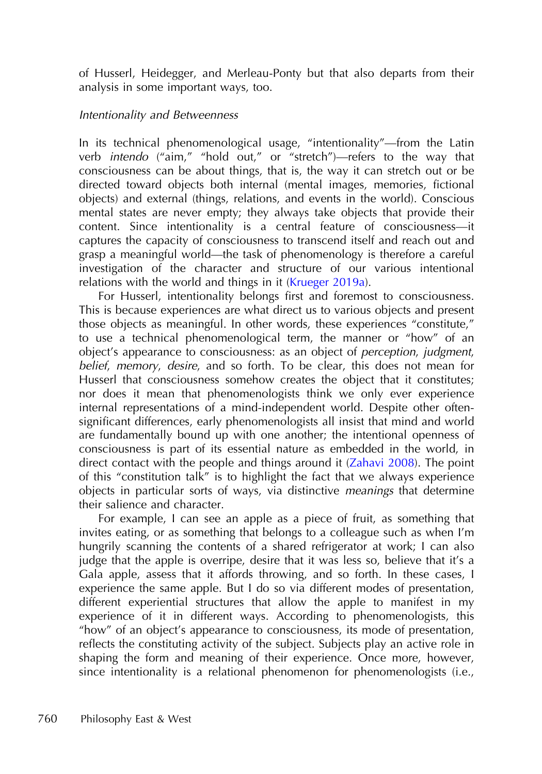of Husserl, Heidegger, and Merleau-Ponty but that also departs from their analysis in some important ways, too.

## Intentionality and Betweenness

In its technical phenomenological usage, "intentionality"—from the Latin verb intendo ("aim," "hold out," or "stretch")—refers to the way that consciousness can be about things, that is, the way it can stretch out or be directed toward objects both internal (mental images, memories, fictional objects) and external (things, relations, and events in the world). Conscious mental states are never empty; they always take objects that provide their content. Since intentionality is a central feature of consciousness—it captures the capacity of consciousness to transcend itself and reach out and grasp a meaningful world—the task of phenomenology is therefore a careful investigation of the character and structure of our various intentional relations with the world and things in it [\(Krueger 2019a](#page-22-0)).

For Husserl, intentionality belongs first and foremost to consciousness. This is because experiences are what direct us to various objects and present those objects as meaningful. In other words, these experiences "constitute," to use a technical phenomenological term, the manner or "how" of an object's appearance to consciousness: as an object of perception, judgment, belief, memory, desire, and so forth. To be clear, this does not mean for Husserl that consciousness somehow creates the object that it constitutes; nor does it mean that phenomenologists think we only ever experience internal representations of a mind-independent world. Despite other oftensignificant differences, early phenomenologists all insist that mind and world are fundamentally bound up with one another; the intentional openness of consciousness is part of its essential nature as embedded in the world, in direct contact with the people and things around it ([Zahavi 2008](#page-24-0)). The point of this "constitution talk" is to highlight the fact that we always experience objects in particular sorts of ways, via distinctive meanings that determine their salience and character.

For example, I can see an apple as a piece of fruit, as something that invites eating, or as something that belongs to a colleague such as when I'm hungrily scanning the contents of a shared refrigerator at work; I can also judge that the apple is overripe, desire that it was less so, believe that it's a Gala apple, assess that it affords throwing, and so forth. In these cases, I experience the same apple. But I do so via different modes of presentation, different experiential structures that allow the apple to manifest in my experience of it in different ways. According to phenomenologists, this "how" of an object's appearance to consciousness, its mode of presentation, reflects the constituting activity of the subject. Subjects play an active role in shaping the form and meaning of their experience. Once more, however, since intentionality is a relational phenomenon for phenomenologists (i.e.,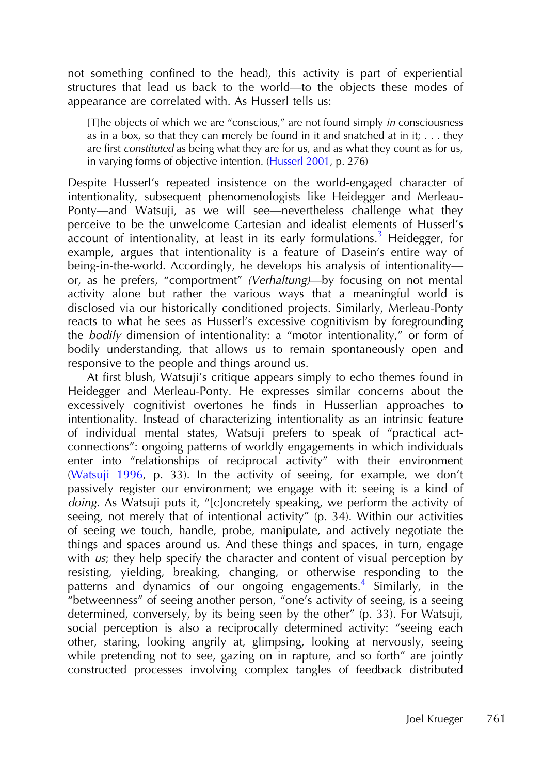not something confined to the head), this activity is part of experiential structures that lead us back to the world—to the objects these modes of appearance are correlated with. As Husserl tells us:

[T]he objects of which we are "conscious," are not found simply in consciousness as in a box, so that they can merely be found in it and snatched at in it;  $\dots$  they are first constituted as being what they are for us, and as what they count as for us, in varying forms of objective intention. [\(Husserl 2001,](#page-21-0) p. 276)

Despite Husserl's repeated insistence on the world-engaged character of intentionality, subsequent phenomenologists like Heidegger and Merleau-Ponty—and Watsuji, as we will see—nevertheless challenge what they perceive to be the unwelcome Cartesian and idealist elements of Husserl's account of intentionality, at least in its early formulations.<sup>3</sup> [Heidegger, for](#page-19-0) example, argues that intentionality is a feature of Dasein's entire way of being-in-the-world. Accordingly, he develops his analysis of intentionality or, as he prefers, "comportment" (Verhaltung)—by focusing on not mental activity alone but rather the various ways that a meaningful world is disclosed via our historically conditioned projects. Similarly, Merleau-Ponty reacts to what he sees as Husserl's excessive cognitivism by foregrounding the bodily dimension of intentionality: a "motor intentionality," or form of bodily understanding, that allows us to remain spontaneously open and responsive to the people and things around us.

At first blush, Watsuji's critique appears simply to echo themes found in Heidegger and Merleau-Ponty. He expresses similar concerns about the excessively cognitivist overtones he finds in Husserlian approaches to intentionality. Instead of characterizing intentionality as an intrinsic feature of individual mental states, Watsuji prefers to speak of "practical actconnections": ongoing patterns of worldly engagements in which individuals enter into "relationships of reciprocal activity" with their environment [\(Watsuji 1996,](#page-24-0) p. 33). In the activity of seeing, for example, we don't passively register our environment; we engage with it: seeing is a kind of doing. As Watsuji puts it, "[c]oncretely speaking, we perform the activity of seeing, not merely that of intentional activity" (p. 34). Within our activities of seeing we touch, handle, probe, manipulate, and actively negotiate the things and spaces around us. And these things and spaces, in turn, engage with us; they help specify the character and content of visual perception by resisting, yielding, breaking, changing, or otherwise responding to the patterns and dynamics of our ongoing engagements.<sup>4</sup> [Similarly, in the](#page-19-0) "betweenness" of seeing another person, "one's activity of seeing, is a seeing determined, conversely, by its being seen by the other" (p. 33). For Watsuji, social perception is also a reciprocally determined activity: "seeing each other, staring, looking angrily at, glimpsing, looking at nervously, seeing while pretending not to see, gazing on in rapture, and so forth" are jointly constructed processes involving complex tangles of feedback distributed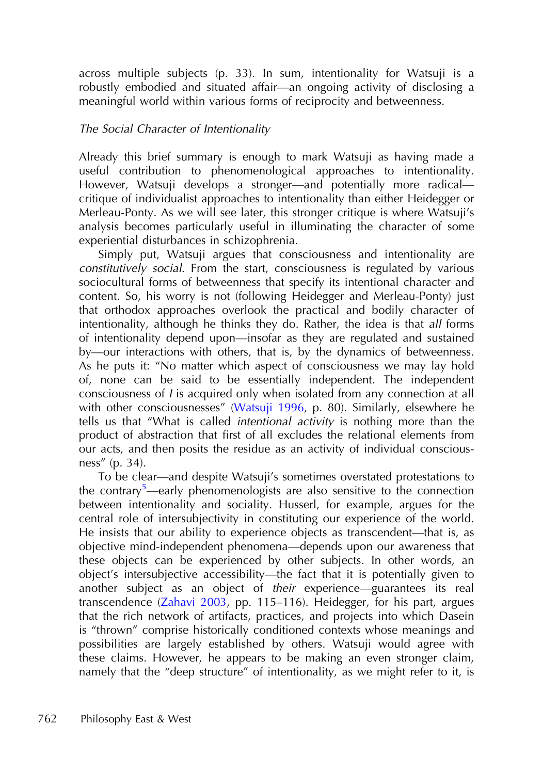across multiple subjects (p. 33). In sum, intentionality for Watsuji is a robustly embodied and situated affair—an ongoing activity of disclosing a meaningful world within various forms of reciprocity and betweenness.

## The Social Character of Intentionality

Already this brief summary is enough to mark Watsuji as having made a useful contribution to phenomenological approaches to intentionality. However, Watsuji develops a stronger—and potentially more radical critique of individualist approaches to intentionality than either Heidegger or Merleau-Ponty. As we will see later, this stronger critique is where Watsuji's analysis becomes particularly useful in illuminating the character of some experiential disturbances in schizophrenia.

Simply put, Watsuji argues that consciousness and intentionality are constitutively social. From the start, consciousness is regulated by various sociocultural forms of betweenness that specify its intentional character and content. So, his worry is not (following Heidegger and Merleau-Ponty) just that orthodox approaches overlook the practical and bodily character of intentionality, although he thinks they do. Rather, the idea is that all forms of intentionality depend upon—insofar as they are regulated and sustained by—our interactions with others, that is, by the dynamics of betweenness. As he puts it: "No matter which aspect of consciousness we may lay hold of, none can be said to be essentially independent. The independent consciousness of <sup>I</sup> is acquired only when isolated from any connection at all with other consciousnesses" ([Watsuji 1996,](#page-24-0) p. 80). Similarly, elsewhere he tells us that "What is called intentional activity is nothing more than the product of abstraction that first of all excludes the relational elements from our acts, and then posits the residue as an activity of individual consciousness" (p. 34).

To be clear—and despite Watsuji's sometimes overstated protestations to the contrary<sup>5</sup>—[early phenomenologists are also sensitive to the connection](#page-19-0) between intentionality and sociality. Husserl, for example, argues for the central role of intersubjectivity in constituting our experience of the world. He insists that our ability to experience objects as transcendent—that is, as objective mind-independent phenomena—depends upon our awareness that these objects can be experienced by other subjects. In other words, an object's intersubjective accessibility—the fact that it is potentially given to another subject as an object of their experience—guarantees its real transcendence [\(Zahavi 2003,](#page-24-0) pp. 115–116). Heidegger, for his part, argues that the rich network of artifacts, practices, and projects into which Dasein is "thrown" comprise historically conditioned contexts whose meanings and possibilities are largely established by others. Watsuji would agree with these claims. However, he appears to be making an even stronger claim, namely that the "deep structure" of intentionality, as we might refer to it, is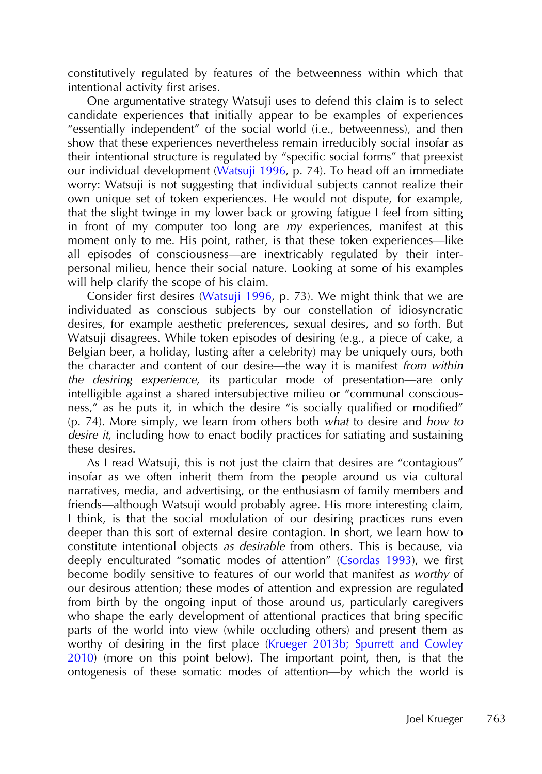constitutively regulated by features of the betweenness within which that intentional activity first arises.

One argumentative strategy Watsuji uses to defend this claim is to select candidate experiences that initially appear to be examples of experiences "essentially independent" of the social world (i.e., betweenness), and then show that these experiences nevertheless remain irreducibly social insofar as their intentional structure is regulated by "specific social forms" that preexist our individual development ([Watsuji 1996,](#page-24-0) p. 74). To head off an immediate worry: Watsuji is not suggesting that individual subjects cannot realize their own unique set of token experiences. He would not dispute, for example, that the slight twinge in my lower back or growing fatigue I feel from sitting in front of my computer too long are  $m_y$  experiences, manifest at this moment only to me. His point, rather, is that these token experiences—like all episodes of consciousness—are inextricably regulated by their interpersonal milieu, hence their social nature. Looking at some of his examples will help clarify the scope of his claim.

Consider first desires [\(Watsuji 1996,](#page-24-0) p. 73). We might think that we are individuated as conscious subjects by our constellation of idiosyncratic desires, for example aesthetic preferences, sexual desires, and so forth. But Watsuji disagrees. While token episodes of desiring (e.g., a piece of cake, a Belgian beer, a holiday, lusting after a celebrity) may be uniquely ours, both the character and content of our desire—the way it is manifest from within the desiring experience, its particular mode of presentation—are only intelligible against a shared intersubjective milieu or "communal consciousness," as he puts it, in which the desire "is socially qualified or modified" (p. 74). More simply, we learn from others both what to desire and how to desire it, including how to enact bodily practices for satiating and sustaining these desires.

As I read Watsuji, this is not just the claim that desires are "contagious" insofar as we often inherit them from the people around us via cultural narratives, media, and advertising, or the enthusiasm of family members and friends—although Watsuji would probably agree. His more interesting claim, I think, is that the social modulation of our desiring practices runs even deeper than this sort of external desire contagion. In short, we learn how to constitute intentional objects as desirable from others. This is because, via deeply enculturated "somatic modes of attention" [\(Csordas 1993\)](#page-20-0), we first become bodily sensitive to features of our world that manifest as worthy of our desirous attention; these modes of attention and expression are regulated from birth by the ongoing input of those around us, particularly caregivers who shape the early development of attentional practices that bring specific parts of the world into view (while occluding others) and present them as worthy of desiring in the first place ([Krueger 2013b; Spurrett and Cowley](#page-22-0) [2010](#page-22-0)) (more on this point below). The important point, then, is that the ontogenesis of these somatic modes of attention—by which the world is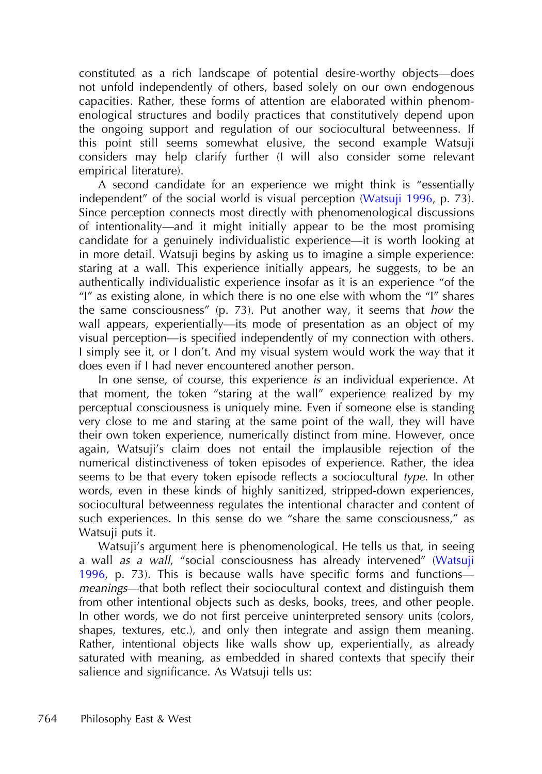constituted as a rich landscape of potential desire-worthy objects—does not unfold independently of others, based solely on our own endogenous capacities. Rather, these forms of attention are elaborated within phenomenological structures and bodily practices that constitutively depend upon the ongoing support and regulation of our sociocultural betweenness. If this point still seems somewhat elusive, the second example Watsuji considers may help clarify further (I will also consider some relevant empirical literature).

A second candidate for an experience we might think is "essentially independent" of the social world is visual perception ([Watsuji 1996](#page-24-0), p. 73). Since perception connects most directly with phenomenological discussions of intentionality—and it might initially appear to be the most promising candidate for a genuinely individualistic experience—it is worth looking at in more detail. Watsuji begins by asking us to imagine a simple experience: staring at a wall. This experience initially appears, he suggests, to be an authentically individualistic experience insofar as it is an experience "of the "I" as existing alone, in which there is no one else with whom the "I" shares the same consciousness" (p. 73). Put another way, it seems that how the wall appears, experientially—its mode of presentation as an object of my visual perception—is specified independently of my connection with others. I simply see it, or I don't. And my visual system would work the way that it does even if I had never encountered another person.

In one sense, of course, this experience is an individual experience. At that moment, the token "staring at the wall" experience realized by my perceptual consciousness is uniquely mine. Even if someone else is standing very close to me and staring at the same point of the wall, they will have their own token experience, numerically distinct from mine. However, once again, Watsuji's claim does not entail the implausible rejection of the numerical distinctiveness of token episodes of experience. Rather, the idea seems to be that every token episode reflects a sociocultural type. In other words, even in these kinds of highly sanitized, stripped-down experiences, sociocultural betweenness regulates the intentional character and content of such experiences. In this sense do we "share the same consciousness," as Watsuji puts it.

Watsuji's argument here is phenomenological. He tells us that, in seeing a wall as <sup>a</sup> wall, "social consciousness has already intervened" [\(Watsuji](#page-24-0) [1996,](#page-24-0) p. 73). This is because walls have specific forms and functions meanings—that both reflect their sociocultural context and distinguish them from other intentional objects such as desks, books, trees, and other people. In other words, we do not first perceive uninterpreted sensory units (colors, shapes, textures, etc.), and only then integrate and assign them meaning. Rather, intentional objects like walls show up, experientially, as already saturated with meaning, as embedded in shared contexts that specify their salience and significance. As Watsuji tells us: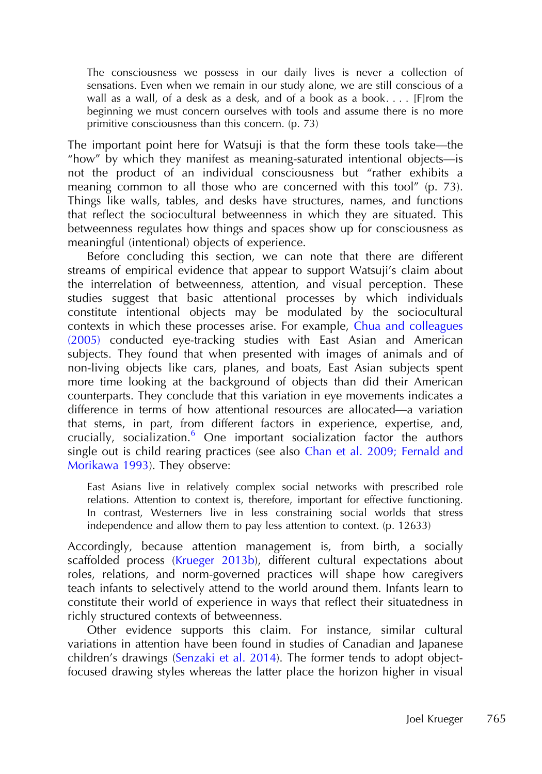The consciousness we possess in our daily lives is never a collection of sensations. Even when we remain in our study alone, we are still conscious of a wall as a wall, of a desk as a desk, and of a book as a book. . . . [F]rom the beginning we must concern ourselves with tools and assume there is no more primitive consciousness than this concern. (p. 73)

The important point here for Watsuji is that the form these tools take—the "how" by which they manifest as meaning-saturated intentional objects—is not the product of an individual consciousness but "rather exhibits a meaning common to all those who are concerned with this tool" (p. 73). Things like walls, tables, and desks have structures, names, and functions that reflect the sociocultural betweenness in which they are situated. This betweenness regulates how things and spaces show up for consciousness as meaningful (intentional) objects of experience.

Before concluding this section, we can note that there are different streams of empirical evidence that appear to support Watsuji's claim about the interrelation of betweenness, attention, and visual perception. These studies suggest that basic attentional processes by which individuals constitute intentional objects may be modulated by the sociocultural contexts in which these processes arise. For example, [Chua and colleagues](#page-20-0) [\(2005\)](#page-20-0) conducted eye-tracking studies with East Asian and American subjects. They found that when presented with images of animals and of non-living objects like cars, planes, and boats, East Asian subjects spent more time looking at the background of objects than did their American counterparts. They conclude that this variation in eye movements indicates a difference in terms of how attentional resources are allocated—a variation that stems, in part, from different factors in experience, expertise, and, crucially, socialization.<sup>6</sup> [One important socialization factor the authors](#page-19-0) single out is child rearing practices (see also [Chan et al. 2009; Fernald and](#page-20-0) [Morikawa 1993\)](#page-20-0). They observe:

East Asians live in relatively complex social networks with prescribed role relations. Attention to context is, therefore, important for effective functioning. In contrast, Westerners live in less constraining social worlds that stress independence and allow them to pay less attention to context. (p. 12633)

Accordingly, because attention management is, from birth, a socially scaffolded process ([Krueger 2013b\)](#page-22-0), different cultural expectations about roles, relations, and norm-governed practices will shape how caregivers teach infants to selectively attend to the world around them. Infants learn to constitute their world of experience in ways that reflect their situatedness in richly structured contexts of betweenness.

Other evidence supports this claim. For instance, similar cultural variations in attention have been found in studies of Canadian and Japanese children's drawings [\(Senzaki et al. 2014\)](#page-23-0). The former tends to adopt objectfocused drawing styles whereas the latter place the horizon higher in visual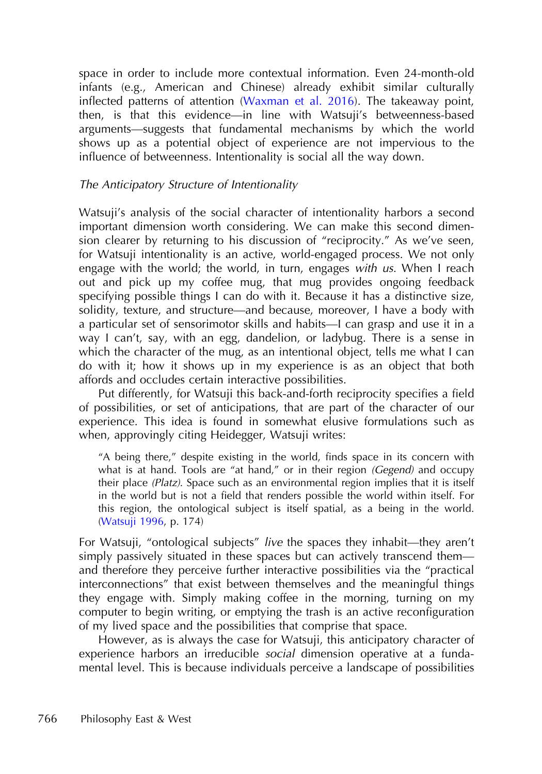space in order to include more contextual information. Even 24-month-old infants (e.g., American and Chinese) already exhibit similar culturally inflected patterns of attention [\(Waxman et al. 2016](#page-24-0)). The takeaway point, then, is that this evidence—in line with Watsuji's betweenness-based arguments—suggests that fundamental mechanisms by which the world shows up as a potential object of experience are not impervious to the influence of betweenness. Intentionality is social all the way down.

## The Anticipatory Structure of Intentionality

Watsuji's analysis of the social character of intentionality harbors a second important dimension worth considering. We can make this second dimension clearer by returning to his discussion of "reciprocity." As we've seen, for Watsuji intentionality is an active, world-engaged process. We not only engage with the world; the world, in turn, engages with us. When I reach out and pick up my coffee mug, that mug provides ongoing feedback specifying possible things I can do with it. Because it has a distinctive size, solidity, texture, and structure—and because, moreover, I have a body with a particular set of sensorimotor skills and habits—I can grasp and use it in a way I can't, say, with an egg, dandelion, or ladybug. There is a sense in which the character of the mug, as an intentional object, tells me what I can do with it; how it shows up in my experience is as an object that both affords and occludes certain interactive possibilities.

Put differently, for Watsuji this back-and-forth reciprocity specifies a field of possibilities, or set of anticipations, that are part of the character of our experience. This idea is found in somewhat elusive formulations such as when, approvingly citing Heidegger, Watsuji writes:

"A being there," despite existing in the world, finds space in its concern with what is at hand. Tools are "at hand," or in their region (Gegend) and occupy their place (Platz). Space such as an environmental region implies that it is itself in the world but is not a field that renders possible the world within itself. For this region, the ontological subject is itself spatial, as a being in the world. [\(Watsuji 1996](#page-24-0), p. 174)

For Watsuji, "ontological subjects" live the spaces they inhabit—they aren't simply passively situated in these spaces but can actively transcend them and therefore they perceive further interactive possibilities via the "practical interconnections" that exist between themselves and the meaningful things they engage with. Simply making coffee in the morning, turning on my computer to begin writing, or emptying the trash is an active reconfiguration of my lived space and the possibilities that comprise that space.

However, as is always the case for Watsuji, this anticipatory character of experience harbors an irreducible social dimension operative at a fundamental level. This is because individuals perceive a landscape of possibilities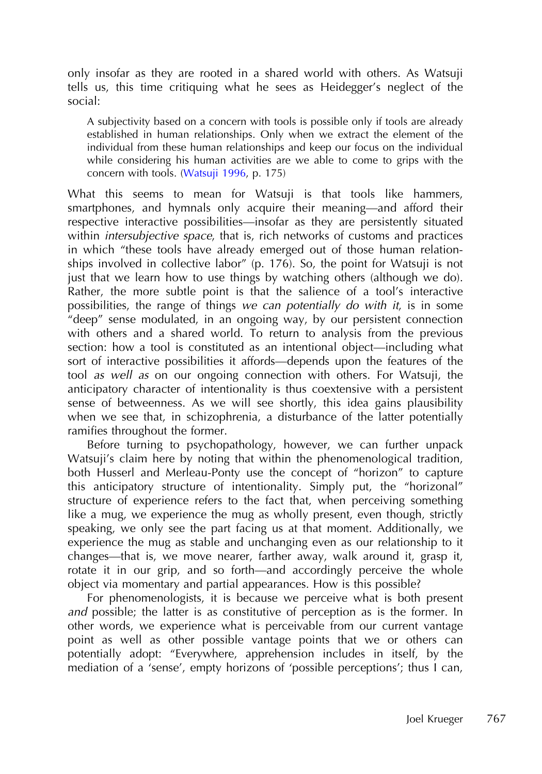only insofar as they are rooted in a shared world with others. As Watsuji tells us, this time critiquing what he sees as Heidegger's neglect of the social:

A subjectivity based on a concern with tools is possible only if tools are already established in human relationships. Only when we extract the element of the individual from these human relationships and keep our focus on the individual while considering his human activities are we able to come to grips with the concern with tools. ([Watsuji 1996,](#page-24-0) p. 175)

What this seems to mean for Watsuji is that tools like hammers, smartphones, and hymnals only acquire their meaning—and afford their respective interactive possibilities—insofar as they are persistently situated within *intersubjective space*, that is, rich networks of customs and practices in which "these tools have already emerged out of those human relationships involved in collective labor" (p. 176). So, the point for Watsuji is not just that we learn how to use things by watching others (although we do). Rather, the more subtle point is that the salience of a tool's interactive possibilities, the range of things we can potentially do with it, is in some "deep" sense modulated, in an ongoing way, by our persistent connection with others and a shared world. To return to analysis from the previous section: how a tool is constituted as an intentional object—including what sort of interactive possibilities it affords—depends upon the features of the tool as well as on our ongoing connection with others. For Watsuji, the anticipatory character of intentionality is thus coextensive with a persistent sense of betweenness. As we will see shortly, this idea gains plausibility when we see that, in schizophrenia, a disturbance of the latter potentially ramifies throughout the former.

Before turning to psychopathology, however, we can further unpack Watsuji's claim here by noting that within the phenomenological tradition, both Husserl and Merleau-Ponty use the concept of "horizon" to capture this anticipatory structure of intentionality. Simply put, the "horizonal" structure of experience refers to the fact that, when perceiving something like a mug, we experience the mug as wholly present, even though, strictly speaking, we only see the part facing us at that moment. Additionally, we experience the mug as stable and unchanging even as our relationship to it changes—that is, we move nearer, farther away, walk around it, grasp it, rotate it in our grip, and so forth—and accordingly perceive the whole object via momentary and partial appearances. How is this possible?

For phenomenologists, it is because we perceive what is both present and possible; the latter is as constitutive of perception as is the former. In other words, we experience what is perceivable from our current vantage point as well as other possible vantage points that we or others can potentially adopt: "Everywhere, apprehension includes in itself, by the mediation of a 'sense', empty horizons of 'possible perceptions'; thus I can,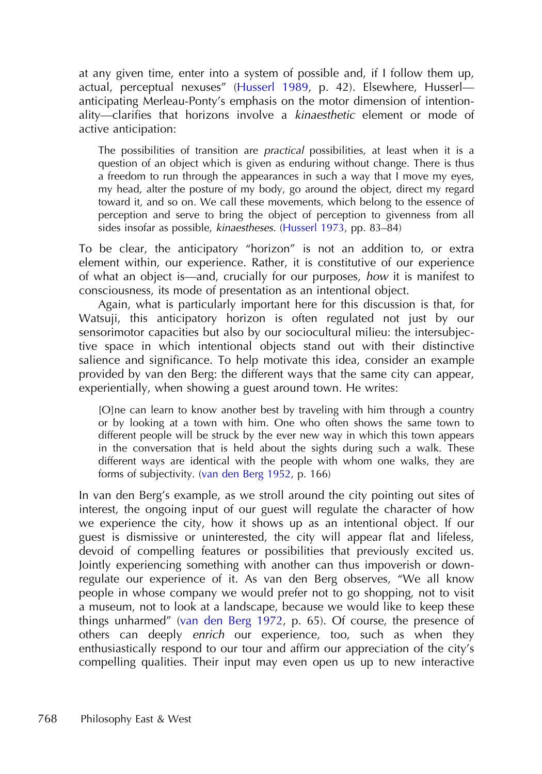at any given time, enter into a system of possible and, if I follow them up, actual, perceptual nexuses" [\(Husserl 1989,](#page-21-0) p. 42). Elsewhere, Husserl anticipating Merleau-Ponty's emphasis on the motor dimension of intentionality—clarifies that horizons involve a kinaesthetic element or mode of active anticipation:

The possibilities of transition are *practical* possibilities, at least when it is a question of an object which is given as enduring without change. There is thus a freedom to run through the appearances in such a way that I move my eyes, my head, alter the posture of my body, go around the object, direct my regard toward it, and so on. We call these movements, which belong to the essence of perception and serve to bring the object of perception to givenness from all sides insofar as possible, kinaestheses. ([Husserl 1973](#page-21-0), pp. 83–84)

To be clear, the anticipatory "horizon" is not an addition to, or extra element within, our experience. Rather, it is constitutive of our experience of what an object is—and, crucially for our purposes, how it is manifest to consciousness, its mode of presentation as an intentional object.

Again, what is particularly important here for this discussion is that, for Watsuji, this anticipatory horizon is often regulated not just by our sensorimotor capacities but also by our sociocultural milieu: the intersubjective space in which intentional objects stand out with their distinctive salience and significance. To help motivate this idea, consider an example provided by van den Berg: the different ways that the same city can appear, experientially, when showing a guest around town. He writes:

[O]ne can learn to know another best by traveling with him through a country or by looking at a town with him. One who often shows the same town to different people will be struck by the ever new way in which this town appears in the conversation that is held about the sights during such a walk. These different ways are identical with the people with whom one walks, they are forms of subjectivity. ([van den Berg 1952,](#page-24-0) p. 166)

In van den Berg's example, as we stroll around the city pointing out sites of interest, the ongoing input of our guest will regulate the character of how we experience the city, how it shows up as an intentional object. If our guest is dismissive or uninterested, the city will appear flat and lifeless, devoid of compelling features or possibilities that previously excited us. Jointly experiencing something with another can thus impoverish or downregulate our experience of it. As van den Berg observes, "We all know people in whose company we would prefer not to go shopping, not to visit a museum, not to look at a landscape, because we would like to keep these things unharmed" [\(van den Berg 1972](#page-24-0), p. 65). Of course, the presence of others can deeply enrich our experience, too, such as when they enthusiastically respond to our tour and affirm our appreciation of the city's compelling qualities. Their input may even open us up to new interactive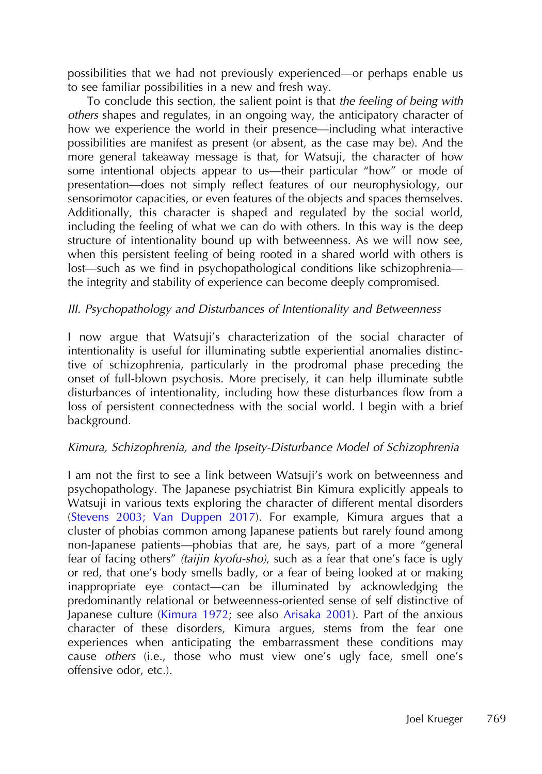possibilities that we had not previously experienced—or perhaps enable us to see familiar possibilities in a new and fresh way.

To conclude this section, the salient point is that the feeling of being with others shapes and regulates, in an ongoing way, the anticipatory character of how we experience the world in their presence—including what interactive possibilities are manifest as present (or absent, as the case may be). And the more general takeaway message is that, for Watsuji, the character of how some intentional objects appear to us—their particular "how" or mode of presentation—does not simply reflect features of our neurophysiology, our sensorimotor capacities, or even features of the objects and spaces themselves. Additionally, this character is shaped and regulated by the social world, including the feeling of what we can do with others. In this way is the deep structure of intentionality bound up with betweenness. As we will now see, when this persistent feeling of being rooted in a shared world with others is lost—such as we find in psychopathological conditions like schizophrenia the integrity and stability of experience can become deeply compromised.

## III. Psychopathology and Disturbances of Intentionality and Betweenness

I now argue that Watsuji's characterization of the social character of intentionality is useful for illuminating subtle experiential anomalies distinctive of schizophrenia, particularly in the prodromal phase preceding the onset of full-blown psychosis. More precisely, it can help illuminate subtle disturbances of intentionality, including how these disturbances flow from a loss of persistent connectedness with the social world. I begin with a brief background.

## Kimura, Schizophrenia, and the Ipseity-Disturbance Model of Schizophrenia

I am not the first to see a link between Watsuji's work on betweenness and psychopathology. The Japanese psychiatrist Bin Kimura explicitly appeals to Watsuji in various texts exploring the character of different mental disorders [\(Stevens 2003; Van Duppen 2017\)](#page-23-0). For example, Kimura argues that a cluster of phobias common among Japanese patients but rarely found among non-Japanese patients—phobias that are, he says, part of a more "general fear of facing others" (taijin kyofu-sho), such as a fear that one's face is ugly or red, that one's body smells badly, or a fear of being looked at or making inappropriate eye contact—can be illuminated by acknowledging the predominantly relational or betweenness-oriented sense of self distinctive of Japanese culture ([Kimura 1972;](#page-21-0) see also [Arisaka 2001](#page-19-0)). Part of the anxious character of these disorders, Kimura argues, stems from the fear one experiences when anticipating the embarrassment these conditions may cause others (i.e., those who must view one's ugly face, smell one's offensive odor, etc.).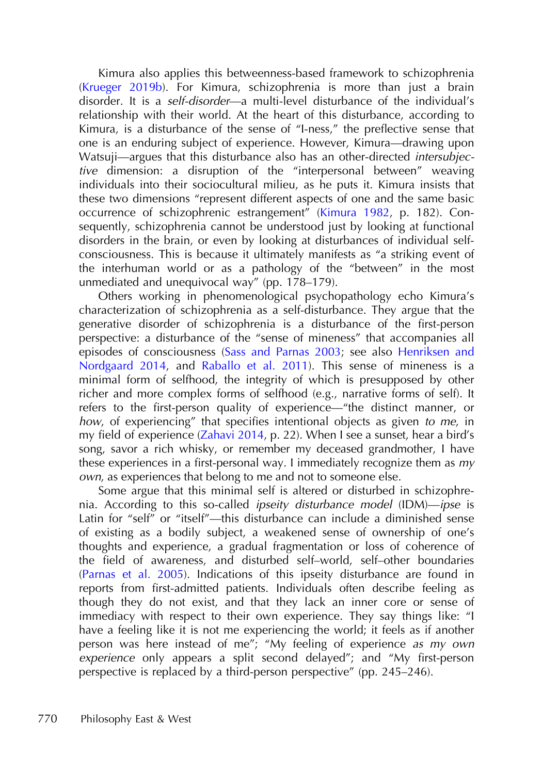Kimura also applies this betweenness-based framework to schizophrenia [\(Krueger 2019b\)](#page-22-0). For Kimura, schizophrenia is more than just a brain disorder. It is a self-disorder—a multi-level disturbance of the individual's relationship with their world. At the heart of this disturbance, according to Kimura, is a disturbance of the sense of "I-ness," the preflective sense that one is an enduring subject of experience. However, Kimura—drawing upon Watsuji—argues that this disturbance also has an other-directed intersubjective dimension: a disruption of the "interpersonal between" weaving individuals into their sociocultural milieu, as he puts it. Kimura insists that these two dimensions "represent different aspects of one and the same basic occurrence of schizophrenic estrangement" ([Kimura 1982](#page-21-0), p. 182). Consequently, schizophrenia cannot be understood just by looking at functional disorders in the brain, or even by looking at disturbances of individual selfconsciousness. This is because it ultimately manifests as "a striking event of the interhuman world or as a pathology of the "between" in the most unmediated and unequivocal way" (pp. 178–179).

Others working in phenomenological psychopathology echo Kimura's characterization of schizophrenia as a self-disturbance. They argue that the generative disorder of schizophrenia is a disturbance of the first-person perspective: a disturbance of the "sense of mineness" that accompanies all episodes of consciousness [\(Sass and Parnas 2003](#page-23-0); see also [Henriksen and](#page-21-0) [Nordgaard 2014](#page-21-0), and [Raballo et al. 2011\)](#page-23-0). This sense of mineness is a minimal form of selfhood, the integrity of which is presupposed by other richer and more complex forms of selfhood (e.g., narrative forms of self). It refers to the first-person quality of experience—"the distinct manner, or how, of experiencing" that specifies intentional objects as given to me, in my field of experience [\(Zahavi 2014](#page-24-0), p. 22). When I see a sunset, hear a bird's song, savor a rich whisky, or remember my deceased grandmother, I have these experiences in a first-personal way. I immediately recognize them as my own, as experiences that belong to me and not to someone else.

Some argue that this minimal self is altered or disturbed in schizophrenia. According to this so-called ipseity disturbance model (IDM)—ipse is Latin for "self" or "itself"—this disturbance can include a diminished sense of existing as a bodily subject, a weakened sense of ownership of one's thoughts and experience, a gradual fragmentation or loss of coherence of the field of awareness, and disturbed self–world, self–other boundaries [\(Parnas et al. 2005\)](#page-23-0). Indications of this ipseity disturbance are found in reports from first-admitted patients. Individuals often describe feeling as though they do not exist, and that they lack an inner core or sense of immediacy with respect to their own experience. They say things like: "I have a feeling like it is not me experiencing the world; it feels as if another person was here instead of me"; "My feeling of experience as my own experience only appears a split second delayed"; and "My first-person perspective is replaced by a third-person perspective" (pp. 245–246).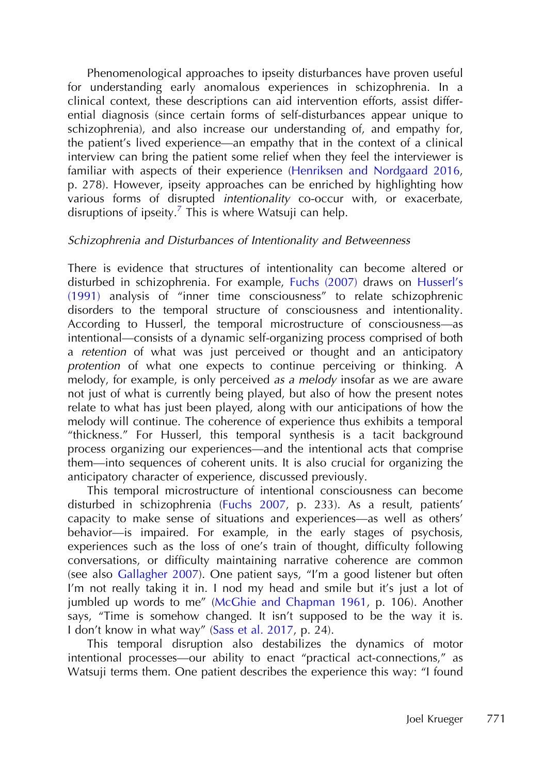Phenomenological approaches to ipseity disturbances have proven useful for understanding early anomalous experiences in schizophrenia. In a clinical context, these descriptions can aid intervention efforts, assist differential diagnosis (since certain forms of self-disturbances appear unique to schizophrenia), and also increase our understanding of, and empathy for, the patient's lived experience—an empathy that in the context of a clinical interview can bring the patient some relief when they feel the interviewer is familiar with aspects of their experience ([Henriksen and Nordgaard 2016,](#page-21-0) p. 278). However, ipseity approaches can be enriched by highlighting how various forms of disrupted intentionality co-occur with, or exacerbate, disruptions of ipseity.<sup>7</sup> [This is where Watsuji can help.](#page-19-0)

#### Schizophrenia and Disturbances of Intentionality and Betweenness

There is evidence that structures of intentionality can become altered or disturbed in schizophrenia. For example, [Fuchs \(2007\)](#page-20-0) draws on [Husserl](#page-21-0)'s [\(1991\)](#page-21-0) analysis of "inner time consciousness" to relate schizophrenic disorders to the temporal structure of consciousness and intentionality. According to Husserl, the temporal microstructure of consciousness—as intentional—consists of a dynamic self-organizing process comprised of both a retention of what was just perceived or thought and an anticipatory protention of what one expects to continue perceiving or thinking. A melody, for example, is only perceived *as a melody* insofar as we are aware not just of what is currently being played, but also of how the present notes relate to what has just been played, along with our anticipations of how the melody will continue. The coherence of experience thus exhibits a temporal "thickness." For Husserl, this temporal synthesis is a tacit background process organizing our experiences—and the intentional acts that comprise them—into sequences of coherent units. It is also crucial for organizing the anticipatory character of experience, discussed previously.

This temporal microstructure of intentional consciousness can become disturbed in schizophrenia ([Fuchs 2007,](#page-20-0) p. 233). As a result, patients' capacity to make sense of situations and experiences—as well as others' behavior—is impaired. For example, in the early stages of psychosis, experiences such as the loss of one's train of thought, difficulty following conversations, or difficulty maintaining narrative coherence are common (see also [Gallagher 2007\)](#page-21-0). One patient says, "I'm a good listener but often I'm not really taking it in. I nod my head and smile but it's just a lot of jumbled up words to me" ([McGhie and Chapman 1961](#page-22-0), p. 106). Another says, "Time is somehow changed. It isn't supposed to be the way it is. I don't know in what way" [\(Sass et al. 2017,](#page-23-0) p. 24).

This temporal disruption also destabilizes the dynamics of motor intentional processes—our ability to enact "practical act-connections," as Watsuji terms them. One patient describes the experience this way: "I found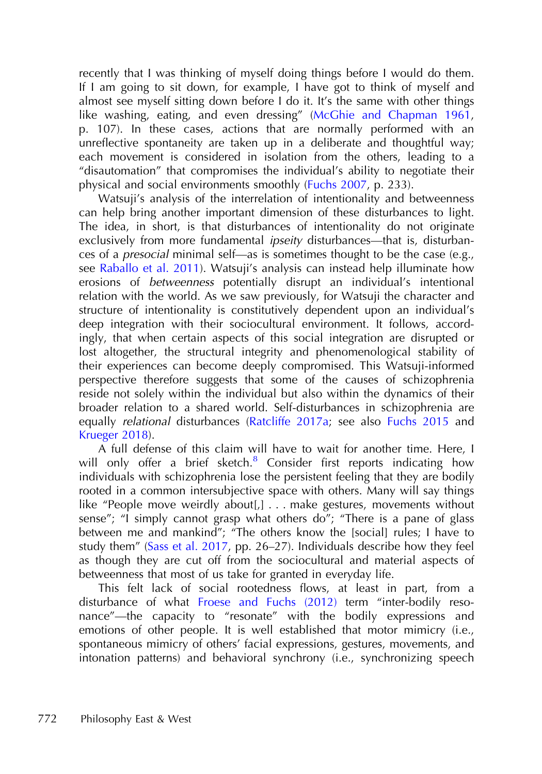recently that I was thinking of myself doing things before I would do them. If I am going to sit down, for example, I have got to think of myself and almost see myself sitting down before I do it. It's the same with other things like washing, eating, and even dressing" [\(McGhie and Chapman 1961,](#page-22-0) p. 107). In these cases, actions that are normally performed with an unreflective spontaneity are taken up in a deliberate and thoughtful way; each movement is considered in isolation from the others, leading to a "disautomation" that compromises the individual's ability to negotiate their physical and social environments smoothly ([Fuchs 2007](#page-20-0), p. 233).

Watsuji's analysis of the interrelation of intentionality and betweenness can help bring another important dimension of these disturbances to light. The idea, in short, is that disturbances of intentionality do not originate exclusively from more fundamental *ipseity* disturbances—that is, disturbances of a presocial minimal self—as is sometimes thought to be the case (e.g., see [Raballo et al. 2011\)](#page-23-0). Watsuji's analysis can instead help illuminate how erosions of betweenness potentially disrupt an individual's intentional relation with the world. As we saw previously, for Watsuji the character and structure of intentionality is constitutively dependent upon an individual's deep integration with their sociocultural environment. It follows, accordingly, that when certain aspects of this social integration are disrupted or lost altogether, the structural integrity and phenomenological stability of their experiences can become deeply compromised. This Watsuji-informed perspective therefore suggests that some of the causes of schizophrenia reside not solely within the individual but also within the dynamics of their broader relation to a shared world. Self-disturbances in schizophrenia are equally relational disturbances ([Ratcliffe 2017a;](#page-23-0) see also [Fuchs 2015](#page-20-0) and [Krueger 2018\)](#page-22-0).

A full defense of this claim will have to wait for another time. Here, I will only offer a brief sketch. $8$  Consider fi[rst reports indicating how](#page-19-0) individuals with schizophrenia lose the persistent feeling that they are bodily rooted in a common intersubjective space with others. Many will say things like "People move weirdly about[,] . . . make gestures, movements without sense"; "I simply cannot grasp what others do"; "There is a pane of glass between me and mankind"; "The others know the [social] rules; I have to study them" [\(Sass et al. 2017](#page-23-0), pp. 26–27). Individuals describe how they feel as though they are cut off from the sociocultural and material aspects of betweenness that most of us take for granted in everyday life.

This felt lack of social rootedness flows, at least in part, from a disturbance of what [Froese and Fuchs \(2012\)](#page-20-0) term "inter-bodily resonance"—the capacity to "resonate" with the bodily expressions and emotions of other people. It is well established that motor mimicry (i.e., spontaneous mimicry of others' facial expressions, gestures, movements, and intonation patterns) and behavioral synchrony (i.e., synchronizing speech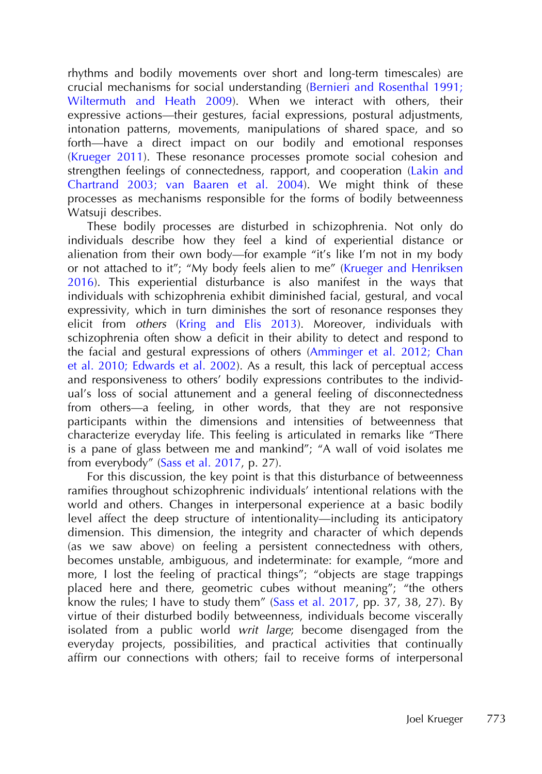rhythms and bodily movements over short and long-term timescales) are crucial mechanisms for social understanding ([Bernieri and Rosenthal 1991;](#page-20-0) [Wiltermuth and Heath 2009](#page-20-0)). When we interact with others, their expressive actions—their gestures, facial expressions, postural adjustments, intonation patterns, movements, manipulations of shared space, and so forth—have a direct impact on our bodily and emotional responses [\(Krueger 2011](#page-22-0)). These resonance processes promote social cohesion and strengthen feelings of connectedness, rapport, and cooperation ([Lakin and](#page-22-0) [Chartrand 2003; van Baaren et al. 2004](#page-22-0)). We might think of these processes as mechanisms responsible for the forms of bodily betweenness Watsuji describes.

These bodily processes are disturbed in schizophrenia. Not only do individuals describe how they feel a kind of experiential distance or alienation from their own body—for example "it's like I'm not in my body or not attached to it"; "My body feels alien to me" ([Krueger and Henriksen](#page-22-0) [2016](#page-22-0)). This experiential disturbance is also manifest in the ways that individuals with schizophrenia exhibit diminished facial, gestural, and vocal expressivity, which in turn diminishes the sort of resonance responses they elicit from others ([Kring and Elis 2013](#page-21-0)). Moreover, individuals with schizophrenia often show a deficit in their ability to detect and respond to the facial and gestural expressions of others [\(Amminger et al. 2012; Chan](#page-19-0) [et al. 2010; Edwards et al. 2002\)](#page-19-0). As a result, this lack of perceptual access and responsiveness to others' bodily expressions contributes to the individual's loss of social attunement and a general feeling of disconnectedness from others—a feeling, in other words, that they are not responsive participants within the dimensions and intensities of betweenness that characterize everyday life. This feeling is articulated in remarks like "There is a pane of glass between me and mankind"; "A wall of void isolates me from everybody" [\(Sass et al. 2017](#page-23-0), p. 27).

For this discussion, the key point is that this disturbance of betweenness ramifies throughout schizophrenic individuals' intentional relations with the world and others. Changes in interpersonal experience at a basic bodily level affect the deep structure of intentionality—including its anticipatory dimension. This dimension, the integrity and character of which depends (as we saw above) on feeling a persistent connectedness with others, becomes unstable, ambiguous, and indeterminate: for example, "more and more, I lost the feeling of practical things"; "objects are stage trappings placed here and there, geometric cubes without meaning"; "the others know the rules; I have to study them" [\(Sass et al. 2017,](#page-23-0) pp. 37, 38, 27). By virtue of their disturbed bodily betweenness, individuals become viscerally isolated from a public world writ large; become disengaged from the everyday projects, possibilities, and practical activities that continually affirm our connections with others; fail to receive forms of interpersonal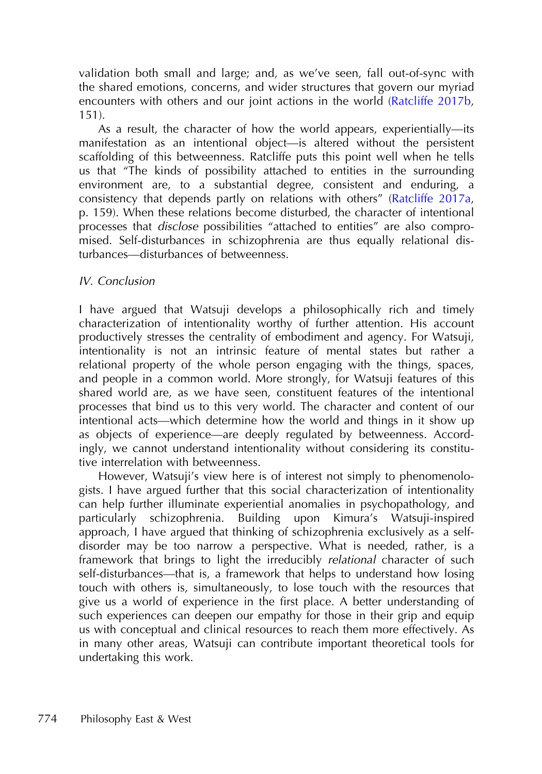validation both small and large; and, as we've seen, fall out-of-sync with the shared emotions, concerns, and wider structures that govern our myriad encounters with others and our joint actions in the world ([Ratcliffe 2017b,](#page-23-0) 151).

As a result, the character of how the world appears, experientially—its manifestation as an intentional object—is altered without the persistent scaffolding of this betweenness. Ratcliffe puts this point well when he tells us that "The kinds of possibility attached to entities in the surrounding environment are, to a substantial degree, consistent and enduring, a consistency that depends partly on relations with others" [\(Ratcliffe 2017a,](#page-23-0) p. 159). When these relations become disturbed, the character of intentional processes that disclose possibilities "attached to entities" are also compromised. Self-disturbances in schizophrenia are thus equally relational disturbances—disturbances of betweenness.

## IV. Conclusion

I have argued that Watsuji develops a philosophically rich and timely characterization of intentionality worthy of further attention. His account productively stresses the centrality of embodiment and agency. For Watsuji, intentionality is not an intrinsic feature of mental states but rather a relational property of the whole person engaging with the things, spaces, and people in a common world. More strongly, for Watsuji features of this shared world are, as we have seen, constituent features of the intentional processes that bind us to this very world. The character and content of our intentional acts—which determine how the world and things in it show up as objects of experience—are deeply regulated by betweenness. Accordingly, we cannot understand intentionality without considering its constitutive interrelation with betweenness.

However, Watsuji's view here is of interest not simply to phenomenologists. I have argued further that this social characterization of intentionality can help further illuminate experiential anomalies in psychopathology, and particularly schizophrenia. Building upon Kimura's Watsuji-inspired approach, I have argued that thinking of schizophrenia exclusively as a selfdisorder may be too narrow a perspective. What is needed, rather, is a framework that brings to light the irreducibly relational character of such self-disturbances—that is, a framework that helps to understand how losing touch with others is, simultaneously, to lose touch with the resources that give us a world of experience in the first place. A better understanding of such experiences can deepen our empathy for those in their grip and equip us with conceptual and clinical resources to reach them more effectively. As in many other areas, Watsuji can contribute important theoretical tools for undertaking this work.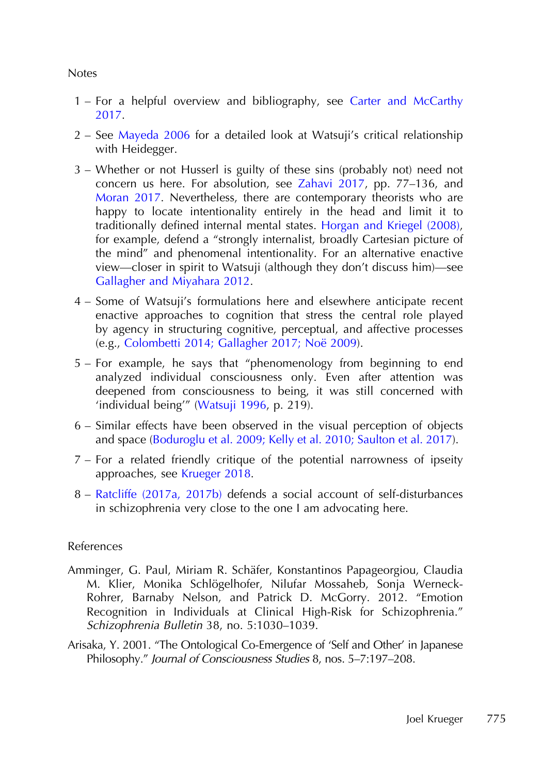#### <span id="page-19-0"></span>Notes

- 1 For a helpful overview and bibliography, see [Carter and McCarthy](#page-20-0) [2017](#page-20-0).
- 2 See [Mayeda 2006](#page-22-0) for a detailed look at Watsuji's critical relationship with Heidegger.
- 3 Whether or not Husserl is guilty of these sins (probably not) need not concern us here. For absolution, see [Zahavi 2017](#page-24-0), pp. 77–136, and [Moran 2017](#page-22-0). Nevertheless, there are contemporary theorists who are happy to locate intentionality entirely in the head and limit it to traditionally defined internal mental states. [Horgan and Kriegel \(2008\),](#page-21-0) for example, defend a "strongly internalist, broadly Cartesian picture of the mind" and phenomenal intentionality. For an alternative enactive view—closer in spirit to Watsuji (although they don't discuss him)—see [Gallagher and Miyahara 2012.](#page-21-0)
- 4 Some of Watsuji's formulations here and elsewhere anticipate recent enactive approaches to cognition that stress the central role played by agency in structuring cognitive, perceptual, and affective processes (e.g., [Colombetti 2014; Gallagher 2017; Noë 2009\)](#page-20-0).
- 5 For example, he says that "phenomenology from beginning to end analyzed individual consciousness only. Even after attention was deepened from consciousness to being, it was still concerned with 'individual being'" ([Watsuji 1996,](#page-24-0) p. 219).
- 6 Similar effects have been observed in the visual perception of objects and space [\(Boduroglu et al. 2009; Kelly et al. 2010; Saulton et al. 2017](#page-20-0)).
- 7 For a related friendly critique of the potential narrowness of ipseity approaches, see [Krueger 2018](#page-22-0).
- 8 [Ratcliffe \(2017a, 2017b\)](#page-23-0) defends a social account of self-disturbances in schizophrenia very close to the one I am advocating here.

## References

- Amminger, G. Paul, Miriam R. Schäfer, Konstantinos Papageorgiou, Claudia M. Klier, Monika Schlögelhofer, Nilufar Mossaheb, Sonja Werneck-Rohrer, Barnaby Nelson, and Patrick D. McGorry. 2012. "Emotion Recognition in Individuals at Clinical High-Risk for Schizophrenia." Schizophrenia Bulletin 38, no. 5:1030–1039.
- Arisaka, Y. 2001. "The Ontological Co-Emergence of 'Self and Other' in Japanese Philosophy." Journal of Consciousness Studies 8, nos. 5–7:197–208.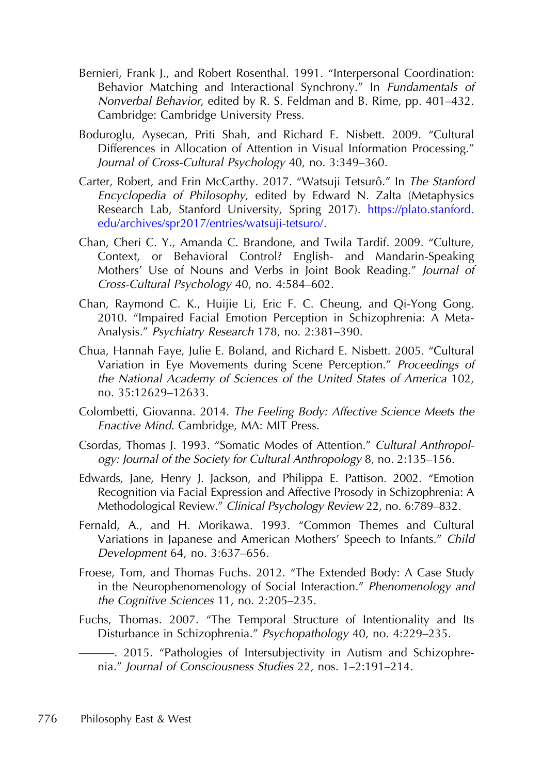- <span id="page-20-0"></span>Bernieri, Frank J., and Robert Rosenthal. 1991. "Interpersonal Coordination: Behavior Matching and Interactional Synchrony." In Fundamentals of Nonverbal Behavior, edited by R. S. Feldman and B. Rime, pp. 401–432. Cambridge: Cambridge University Press.
- Boduroglu, Aysecan, Priti Shah, and Richard E. Nisbett. 2009. "Cultural Differences in Allocation of Attention in Visual Information Processing." Journal of Cross-Cultural Psychology 40, no. 3:349–360.
- Carter, Robert, and Erin McCarthy. 2017. "Watsuji Tetsurô." In The Stanford Encyclopedia of Philosophy, edited by Edward N. Zalta (Metaphysics Research Lab, Stanford University, Spring 2017). [https://plato.stanford.](https://plato.stanford.edu/archives/spr2017/entries/watsuji-tetsuro/) [edu/archives/spr2017/entries/watsuji-tetsuro/.](https://plato.stanford.edu/archives/spr2017/entries/watsuji-tetsuro/)
- Chan, Cheri C. Y., Amanda C. Brandone, and Twila Tardif. 2009. "Culture, Context, or Behavioral Control? English- and Mandarin-Speaking Mothers' Use of Nouns and Verbs in Joint Book Reading." Journal of Cross-Cultural Psychology 40, no. 4:584–602.
- Chan, Raymond C. K., Huijie Li, Eric F. C. Cheung, and Qi-Yong Gong. 2010. "Impaired Facial Emotion Perception in Schizophrenia: A Meta-Analysis." Psychiatry Research 178, no. 2:381–390.
- Chua, Hannah Faye, Julie E. Boland, and Richard E. Nisbett. 2005. "Cultural Variation in Eye Movements during Scene Perception." Proceedings of the National Academy of Sciences of the United States of America 102, no. 35:12629–12633.
- Colombetti, Giovanna. 2014. The Feeling Body: Affective Science Meets the Enactive Mind. Cambridge, MA: MIT Press.
- Csordas, Thomas J. 1993. "Somatic Modes of Attention." Cultural Anthropology: Journal of the Society for Cultural Anthropology 8, no. 2:135–156.
- Edwards, Jane, Henry J. Jackson, and Philippa E. Pattison. 2002. "Emotion Recognition via Facial Expression and Affective Prosody in Schizophrenia: A Methodological Review." Clinical Psychology Review 22, no. 6:789–832.
- Fernald, A., and H. Morikawa. 1993. "Common Themes and Cultural Variations in Japanese and American Mothers' Speech to Infants." Child Development 64, no. 3:637–656.
- Froese, Tom, and Thomas Fuchs. 2012. "The Extended Body: A Case Study in the Neurophenomenology of Social Interaction." Phenomenology and the Cognitive Sciences 11, no. 2:205–235.
- Fuchs, Thomas. 2007. "The Temporal Structure of Intentionality and Its Disturbance in Schizophrenia." Psychopathology 40, no. 4:229–235.

———. 2015. "Pathologies of Intersubjectivity in Autism and Schizophrenia." Journal of Consciousness Studies 22, nos. 1–2:191–214.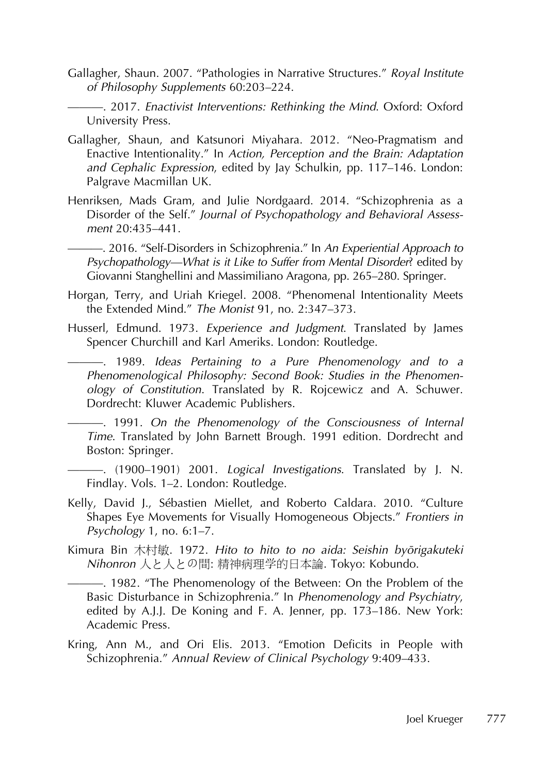- <span id="page-21-0"></span>Gallagher, Shaun. 2007. "Pathologies in Narrative Structures." Royal Institute of Philosophy Supplements 60:203–224.
- ———. 2017. Enactivist Interventions: Rethinking the Mind. Oxford: Oxford University Press.
- Gallagher, Shaun, and Katsunori Miyahara. 2012. "Neo-Pragmatism and Enactive Intentionality." In Action, Perception and the Brain: Adaptation and Cephalic Expression, edited by Jay Schulkin, pp. 117–146. London: Palgrave Macmillan UK.
- Henriksen, Mads Gram, and Julie Nordgaard. 2014. "Schizophrenia as a Disorder of the Self." Journal of Psychopathology and Behavioral Assessment 20:435–441.
	- 2016. "Self-Disorders in Schizophrenia." In An Experiential Approach to Psychopathology—What is it Like to Suffer from Mental Disorder? edited by Giovanni Stanghellini and Massimiliano Aragona, pp. 265–280. Springer.
- Horgan, Terry, and Uriah Kriegel. 2008. "Phenomenal Intentionality Meets the Extended Mind." The Monist 91, no. 2:347–373.
- Husserl, Edmund. 1973. Experience and Judgment. Translated by James Spencer Churchill and Karl Ameriks. London: Routledge.
	- ———. 1989. Ideas Pertaining to <sup>a</sup> Pure Phenomenology and to <sup>a</sup> Phenomenological Philosophy: Second Book: Studies in the Phenomenology of Constitution. Translated by R. Rojcewicz and A. Schuwer. Dordrecht: Kluwer Academic Publishers.

———. 1991. On the Phenomenology of the Consciousness of Internal Time. Translated by John Barnett Brough. 1991 edition. Dordrecht and Boston: Springer.

- ———. (1900–1901) 2001. Logical Investigations. Translated by J. N. Findlay. Vols. 1–2. London: Routledge.
- Kelly, David J., Sébastien Miellet, and Roberto Caldara. 2010. "Culture Shapes Eye Movements for Visually Homogeneous Objects." Frontiers in Psychology 1, no. 6:1–7.
- Kimura Bin 木村敏. 1972. Hito to hito to no aida: Seishin byōrigakuteki Nihonron 人と人との間: 精神病理学的日本論. Tokyo: Kobundo.
	- ———. 1982. "The Phenomenology of the Between: On the Problem of the Basic Disturbance in Schizophrenia." In Phenomenology and Psychiatry, edited by A.J.J. De Koning and F. A. Jenner, pp. 173–186. New York: Academic Press.
- Kring, Ann M., and Ori Elis. 2013. "Emotion Deficits in People with Schizophrenia." Annual Review of Clinical Psychology 9:409–433.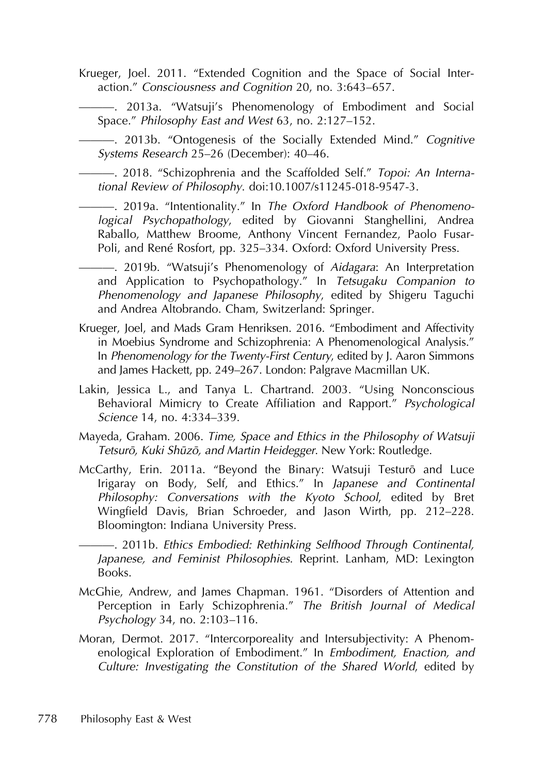<span id="page-22-0"></span>Krueger, Joel. 2011. "Extended Cognition and the Space of Social Interaction." Consciousness and Cognition 20, no. 3:643–657.

———. 2013a. "Watsuji's Phenomenology of Embodiment and Social Space." Philosophy East and West 63, no. 2:127–152.

———. 2013b. "Ontogenesis of the Socially Extended Mind." Cognitive Systems Research 25–26 (December): 40–46.

———. 2018. "Schizophrenia and the Scaffolded Self." Topoi: An International Review of Philosophy. doi:10.1007/s11245-018-9547-3.

———. 2019a. "Intentionality." In The Oxford Handbook of Phenomenological Psychopathology, edited by Giovanni Stanghellini, Andrea Raballo, Matthew Broome, Anthony Vincent Fernandez, Paolo Fusar-Poli, and René Rosfort, pp. 325–334. Oxford: Oxford University Press.

- 2019b. "Watsuji's Phenomenology of Aidagara: An Interpretation and Application to Psychopathology." In Tetsugaku Companion to Phenomenology and Japanese Philosophy, edited by Shigeru Taguchi and Andrea Altobrando. Cham, Switzerland: Springer.

- Krueger, Joel, and Mads Gram Henriksen. 2016. "Embodiment and Affectivity in Moebius Syndrome and Schizophrenia: A Phenomenological Analysis." In Phenomenology for the Twenty-First Century, edited by J. Aaron Simmons and James Hackett, pp. 249–267. London: Palgrave Macmillan UK.
- Lakin, Jessica L., and Tanya L. Chartrand. 2003. "Using Nonconscious Behavioral Mimicry to Create Affiliation and Rapport." Psychological Science 14, no. 4:334–339.
- Mayeda, Graham. 2006. Time, Space and Ethics in the Philosophy of Watsuji Tetsurō, Kuki Shūzō, and Martin Heidegger. New York: Routledge.
- McCarthy, Erin. 2011a. "Beyond the Binary: Watsuji Testurō and Luce Irigaray on Body, Self, and Ethics." In Japanese and Continental Philosophy: Conversations with the Kyoto School, edited by Bret Wingfield Davis, Brian Schroeder, and Jason Wirth, pp. 212–228. Bloomington: Indiana University Press.

———. 2011b. Ethics Embodied: Rethinking Selfhood Through Continental, Japanese, and Feminist Philosophies. Reprint. Lanham, MD: Lexington Books.

- McGhie, Andrew, and James Chapman. 1961. "Disorders of Attention and Perception in Early Schizophrenia." The British Journal of Medical Psychology 34, no. 2:103–116.
- Moran, Dermot. 2017. "Intercorporeality and Intersubjectivity: A Phenomenological Exploration of Embodiment." In Embodiment, Enaction, and Culture: Investigating the Constitution of the Shared World, edited by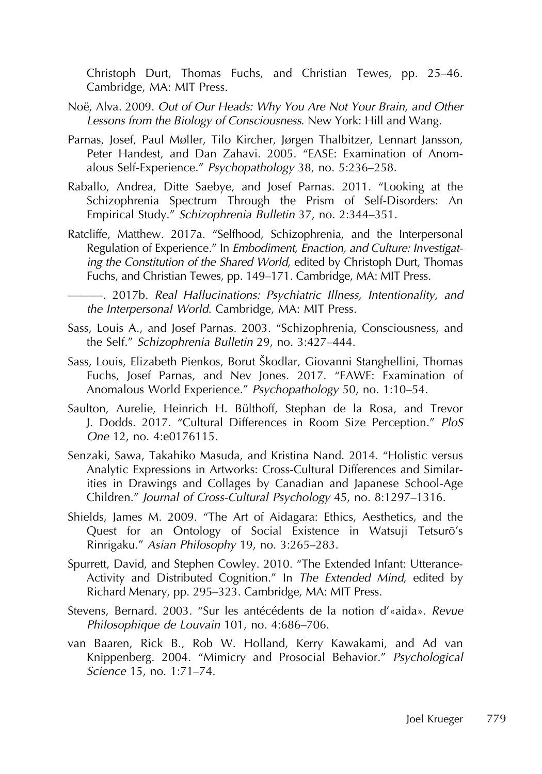<span id="page-23-0"></span>Christoph Durt, Thomas Fuchs, and Christian Tewes, pp. 25–46. Cambridge, MA: MIT Press.

- Noë, Alva. 2009. Out of Our Heads: Why You Are Not Your Brain, and Other Lessons from the Biology of Consciousness. New York: Hill and Wang.
- Parnas, Josef, Paul Møller, Tilo Kircher, Jørgen Thalbitzer, Lennart Jansson, Peter Handest, and Dan Zahavi. 2005. "EASE: Examination of Anomalous Self-Experience." Psychopathology 38, no. 5:236–258.
- Raballo, Andrea, Ditte Saebye, and Josef Parnas. 2011. "Looking at the Schizophrenia Spectrum Through the Prism of Self-Disorders: An Empirical Study." Schizophrenia Bulletin 37, no. 2:344–351.
- Ratcliffe, Matthew. 2017a. "Selfhood, Schizophrenia, and the Interpersonal Regulation of Experience." In Embodiment, Enaction, and Culture: Investigating the Constitution of the Shared World, edited by Christoph Durt, Thomas Fuchs, and Christian Tewes, pp. 149–171. Cambridge, MA: MIT Press.

———. 2017b. Real Hallucinations: Psychiatric Illness, Intentionality, and the Interpersonal World. Cambridge, MA: MIT Press.

- Sass, Louis A., and Josef Parnas. 2003. "Schizophrenia, Consciousness, and the Self." Schizophrenia Bulletin 29, no. 3:427–444.
- Sass, Louis, Elizabeth Pienkos, Borut Škodlar, Giovanni Stanghellini, Thomas Fuchs, Josef Parnas, and Nev Jones. 2017. "EAWE: Examination of Anomalous World Experience." Psychopathology 50, no. 1:10–54.
- Saulton, Aurelie, Heinrich H. Bülthoff, Stephan de la Rosa, and Trevor J. Dodds. 2017. "Cultural Differences in Room Size Perception." PloS One 12, no. 4:e0176115.
- Senzaki, Sawa, Takahiko Masuda, and Kristina Nand. 2014. "Holistic versus Analytic Expressions in Artworks: Cross-Cultural Differences and Similarities in Drawings and Collages by Canadian and Japanese School-Age Children." Journal of Cross-Cultural Psychology 45, no. 8:1297–1316.
- Shields, James M. 2009. "The Art of Aidagara: Ethics, Aesthetics, and the Quest for an Ontology of Social Existence in Watsuji Tetsurō's Rinrigaku." Asian Philosophy 19, no. 3:265–283.
- Spurrett, David, and Stephen Cowley. 2010. "The Extended Infant: Utterance-Activity and Distributed Cognition." In The Extended Mind, edited by Richard Menary, pp. 295–323. Cambridge, MA: MIT Press.
- Stevens, Bernard. 2003. "Sur les antécédents de la notion d'«aida». Revue Philosophique de Louvain 101, no. 4:686–706.
- van Baaren, Rick B., Rob W. Holland, Kerry Kawakami, and Ad van Knippenberg. 2004. "Mimicry and Prosocial Behavior." Psychological Science 15, no. 1:71–74.